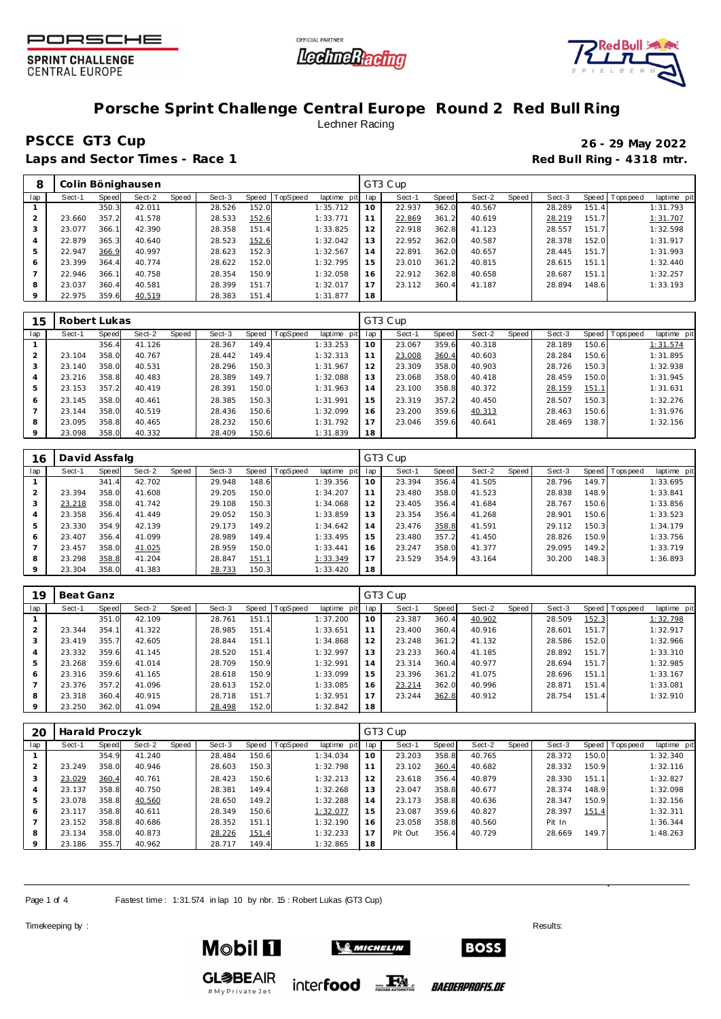





## **Porsche Sprint Challenge Central Europe Round 2 Red Bull Ring** Lechner Racing

## **PSCCE GT3 Cup 26 - 29 May 2022**

Laps and Sector Times - Race 1 **Red Bull Ring - 4318 mtr.** 

|         |        |       | Colin Bönighausen |       |        |       |          |             |     | GT3 Cup |       |        |       |        |       |                 |             |
|---------|--------|-------|-------------------|-------|--------|-------|----------|-------------|-----|---------|-------|--------|-------|--------|-------|-----------------|-------------|
| lap     | Sect-1 | Speed | Sect-2            | Speed | Sect-3 | Speed | TopSpeed | laptime pit | lap | Sect-1  | Speed | Sect-2 | Speed | Sect-3 |       | Speed Tops peed | laptime pit |
|         |        | 350.3 | 42.011            |       | 28.526 | 152.0 |          | 1:35.712    | 10  | 22.937  | 362.0 | 40.567 |       | 28.289 | 151.4 |                 | 1:31.793    |
|         | 23.660 | 357.2 | 41.578            |       | 28.533 | 152.6 |          | 1:33.771    | 11  | 22.869  | 361.2 | 40.619 |       | 28.219 | 151.7 |                 | 1:31.707    |
|         | 23.077 | 366.1 | 42.390            |       | 28.358 | 151.4 |          | 1:33.825    | 12  | 22.918  | 362.8 | 41.123 |       | 28.557 | 151.7 |                 | 1:32.598    |
| 4       | 22.879 | 365.3 | 40.640            |       | 28.523 | 152.6 |          | 1:32.042    | 13  | 22.952  | 362.0 | 40.587 |       | 28.378 | 152.0 |                 | 1:31.917    |
| 5       | 22.947 | 366.9 | 40.997            |       | 28.623 | 152.3 |          | 1:32.567    | 14  | 22.891  | 362.0 | 40.657 |       | 28.445 | 151.7 |                 | 1:31.993    |
| 6       | 23.399 | 364.4 | 40.774            |       | 28.622 | 152.0 |          | 1:32.795    | 15  | 23.010  | 361.2 | 40.815 |       | 28.615 | 151.1 |                 | 1:32.440    |
|         | 22.946 | 366.1 | 40.758            |       | 28.354 | 150.9 |          | 1:32.058    | 16  | 22.912  | 362.8 | 40.658 |       | 28.687 | 151.1 |                 | 1:32.257    |
| 8       | 23.037 | 360.4 | 40.581            |       | 28.399 | 151.7 |          | 1:32.017    | 17  | 23.112  | 360.4 | 41.187 |       | 28.894 | 148.6 |                 | 1:33.193    |
| $\circ$ | 22.975 | 359.6 | 40.519            |       | 28.383 | 151.4 |          | 1:31.877    | 18  |         |       |        |       |        |       |                 |             |

| 15         | Robert Lukas |       |        |       |        |       |          |             |              | GT3 Cup |       |        |       |        |       |                 |             |
|------------|--------------|-------|--------|-------|--------|-------|----------|-------------|--------------|---------|-------|--------|-------|--------|-------|-----------------|-------------|
| lap        | Sect-1       | Speed | Sect-2 | Speed | Sect-3 | Speed | TopSpeed | laptime pit | lap          | Sect-1  | Speed | Sect-2 | Speed | Sect-3 |       | Speed Tops peed | laptime pit |
|            |              | 356.4 | 41.126 |       | 28.367 | 149.4 |          | 1:33.253    | 10           | 23.067  | 359.6 | 40.318 |       | 28.189 | 150.6 |                 | 1:31.574    |
| $\bigcirc$ | 23.104       | 358.0 | 40.767 |       | 28.442 | 149.4 |          | 1:32.313    | $\mathbf{A}$ | 23.008  | 360.4 | 40.603 |       | 28.284 | 150.6 |                 | 1:31.895    |
|            | 23.140       | 358.0 | 40.531 |       | 28.296 | 150.3 |          | 1:31.967    | 12           | 23.309  | 358.0 | 40.903 |       | 28.726 | 150.3 |                 | 1:32.938    |
| 4          | 23.216       | 358.8 | 40.483 |       | 28.389 | 149.7 |          | 1:32.088    | 13           | 23.068  | 358.0 | 40.418 |       | 28.459 | 150.0 |                 | 1:31.945    |
| 5          | 23.153       | 357.2 | 40.419 |       | 28.391 | 150.0 |          | 1:31.963    | 14           | 23.100  | 358.8 | 40.372 |       | 28.159 | 151.1 |                 | 1:31.631    |
| 6          | 23.145       | 358.0 | 40.461 |       | 28.385 | 150.3 |          | 1:31.991    | 15           | 23.319  | 357.2 | 40.450 |       | 28.507 | 150.3 |                 | 1:32.276    |
|            | 23.144       | 358.0 | 40.519 |       | 28.436 | 150.6 |          | 1:32.099    | 16           | 23.200  | 359.6 | 40.313 |       | 28.463 | 150.6 |                 | 1:31.976    |
| 8          | 23.095       | 358.8 | 40.465 |       | 28.232 | 150.6 |          | 1:31.792    | 17           | 23.046  | 359.6 | 40.641 |       | 28.469 | 138.7 |                 | 1:32.156    |
|            | 23.098       | 358.0 | 40.332 |       | 28.409 | 150.6 |          | 1:31.839    | 18           |         |       |        |       |        |       |                 |             |

| 16  | David Assfalg |       |        |       |        |       |                |                |     | GT3 Cup |       |        |       |        |       |                 |             |
|-----|---------------|-------|--------|-------|--------|-------|----------------|----------------|-----|---------|-------|--------|-------|--------|-------|-----------------|-------------|
| lap | Sect-1        | Speed | Sect-2 | Speed | Sect-3 |       | Speed TopSpeed | laptime<br>pit | lap | Sect-1  | Speed | Sect-2 | Speed | Sect-3 |       | Speed Tops peed | laptime pit |
|     |               | 341.4 | 42.702 |       | 29.948 | 148.6 |                | 1:39.356       | 10  | 23.394  | 356.4 | 41.505 |       | 28.796 | 149.7 |                 | 1:33.695    |
|     | 23.394        | 358.0 | 41.608 |       | 29.205 | 150.0 |                | 1:34.207       | 11  | 23.480  | 358.0 | 41.523 |       | 28.838 | 148.9 |                 | 1:33.841    |
|     | 23.218        | 358.0 | 41.742 |       | 29.108 | 150.3 |                | 1:34.068       | 12  | 23.405  | 356.4 | 41.684 |       | 28.767 | 150.6 |                 | 1:33.856    |
| 4   | 23.358        | 356.4 | 41.449 |       | 29.052 | 150.3 |                | 1:33.859       | 13  | 23.354  | 356.4 | 41.268 |       | 28.901 | 150.6 |                 | 1:33.523    |
| 5   | 23.330        | 354.9 | 42.139 |       | 29.173 | 149.2 |                | 1:34.642       | 14  | 23.476  | 358.8 | 41.591 |       | 29.112 | 150.3 |                 | 1:34.179    |
| 6   | 23.407        | 356.4 | 41.099 |       | 28.989 | 149.4 |                | 1:33.495       | 15  | 23.480  | 357.2 | 41.450 |       | 28.826 | 150.9 |                 | 1:33.756    |
|     | 23.457        | 358.0 | 41.025 |       | 28.959 | 150.0 |                | 1:33.441       | 16  | 23.247  | 358.0 | 41.377 |       | 29.095 | 149.2 |                 | 1:33.719    |
| 8   | 23.298        | 358.8 | 41.204 |       | 28.847 | 151.1 |                | 1:33.349       | 17  | 23.529  | 354.9 | 43.164 |       | 30.200 | 148.3 |                 | 1:36.893    |
| 9   | 23.304        | 358.0 | 41.383 |       | 28.733 | 150.3 |                | 1:33.420       | 18  |         |       |        |       |        |       |                 |             |

| 19             | Beat Ganz |              |        |       |        |       |          |                |     | GT3 Cup |       |        |       |        |       |           |             |
|----------------|-----------|--------------|--------|-------|--------|-------|----------|----------------|-----|---------|-------|--------|-------|--------|-------|-----------|-------------|
| lap            | Sect-1    | <b>Speed</b> | Sect-2 | Speed | Sect-3 | Speed | TopSpeed | laptime<br>pit | lap | Sect-1  | Speed | Sect-2 | Speed | Sect-3 | Speed | Tops peed | laptime pit |
|                |           | 351.0        | 42.109 |       | 28.761 | 151.  |          | 1:37.200       | 10  | 23.387  | 360.4 | 40.902 |       | 28.509 | 152.3 |           | 1:32.798    |
|                | 23.344    | 354.1        | 41.322 |       | 28.985 | 151.4 |          | 1:33.651       |     | 23.400  | 360.4 | 40.916 |       | 28.601 | 151.7 |           | 1:32.917    |
| 3              | 23.419    | 355.7        | 42.605 |       | 28.844 | 151.1 |          | 1:34.868       | 12  | 23.248  | 361.2 | 41.132 |       | 28.586 | 152.0 |           | 1:32.966    |
| $\overline{4}$ | 23.332    | 359.6        | 41.145 |       | 28.520 | 151.4 |          | 1:32.997       | 13  | 23.233  | 360.4 | 41.185 |       | 28.892 | 151.7 |           | 1:33.310    |
| 5              | 23.268    | 359.6        | 41.014 |       | 28.709 | 150.9 |          | 1:32.991       | 14  | 23.314  | 360.4 | 40.977 |       | 28.694 | 151.7 |           | 1:32.985    |
| <sup>6</sup>   | 23.316    | 359.6        | 41.165 |       | 28.618 | 150.9 |          | 1:33.099       | 15  | 23.396  | 361.2 | 41.075 |       | 28.696 | 151.1 |           | 1:33.167    |
|                | 23.376    | 357.2        | 41.096 |       | 28.613 | 152.0 |          | 1:33.085       | 16  | 23.214  | 362.0 | 40.996 |       | 28.871 | 151.4 |           | 1:33.081    |
| 8              | 23.318    | 360.4        | 40.915 |       | 28.718 | 151.7 |          | 1:32.951       | 17  | 23.244  | 362.8 | 40.912 |       | 28.754 | 151.4 |           | 1:32.910    |
| 9              | 23.250    | 362.0        | 41.094 |       | 28.498 | 152.0 |          | 1:32.842       | 18  |         |       |        |       |        |       |           |             |

| 20  | Harald Proczyk |              |        |       |        |       |          |             |     | GT3 Cup |              |        |       |        |       |                   |             |
|-----|----------------|--------------|--------|-------|--------|-------|----------|-------------|-----|---------|--------------|--------|-------|--------|-------|-------------------|-------------|
| lap | Sect-1         | <b>Speed</b> | Sect-2 | Speed | Sect-3 | Speed | TopSpeed | laptime pit | lap | Sect-1  | <b>Speed</b> | Sect-2 | Speed | Sect-3 |       | Speed   Tops peed | laptime pit |
|     |                | 354.9        | 41.240 |       | 28.484 | 150.6 |          | 1:34.034    | 10  | 23.203  | 358.8        | 40.765 |       | 28.372 | 150.0 |                   | 1:32.340    |
|     | 23.249         | 358.0        | 40.946 |       | 28.603 | 150.3 |          | 1:32.798    | 11  | 23.102  | 360.4        | 40.682 |       | 28.332 | 150.9 |                   | 1:32.116    |
| 3   | 23.029         | 360.4        | 40.761 |       | 28.423 | 150.6 |          | 1:32.213    | 12  | 23.618  | 356.4        | 40.879 |       | 28.330 | 151.1 |                   | 1:32.827    |
| 4   | 23.137         | 358.8        | 40.750 |       | 28.381 | 149.4 |          | 1:32.268    | 13  | 23.047  | 358.8        | 40.677 |       | 28.374 | 148.9 |                   | 1:32.098    |
| 5   | 23.078         | 358.8        | 40.560 |       | 28.650 | 149.2 |          | 1:32.288    | 14  | 23.173  | 358.8        | 40.636 |       | 28.347 | 150.9 |                   | 1:32.156    |
| 6   | 23.117         | 358.8        | 40.611 |       | 28.349 | 150.6 |          | 1:32.077    | 15  | 23.087  | 359.6        | 40.827 |       | 28.397 | 151.4 |                   | 1:32.311    |
|     | 23.152         | 358.8        | 40.686 |       | 28.352 | 151.1 |          | 1:32.190    | 16  | 23.058  | 358.8        | 40.560 |       | Pit In |       |                   | 1:36.344    |
| 8   | 23.134         | 358.0        | 40.873 |       | 28.226 | 151.4 |          | 1:32.233    | 17  | Pit Out | 356.4        | 40.729 |       | 28.669 | 149.7 |                   | 1:48.263    |
|     | 23.186         | 355.7        | 40.962 |       | 28.717 | 149.4 |          | 1:32.865    | 18  |         |              |        |       |        |       |                   |             |

inter**food** FALL

Page 1 of 4 Fastest time: 1:31.574 in lap 10 by nbr. 15: Robert Lukas (GT3 Cup)

Timekeeping by : Results: Results: Results: Results: Results: Results: Results: Results: Results: Results: Results: Results: Results: Results: Results: Results: Results: Results: Results: Results: Results: Results: Results



**GL参BEAIR** 

#MyPrivateJet



**BOSS** 

*BAEDERPROFIS.DE*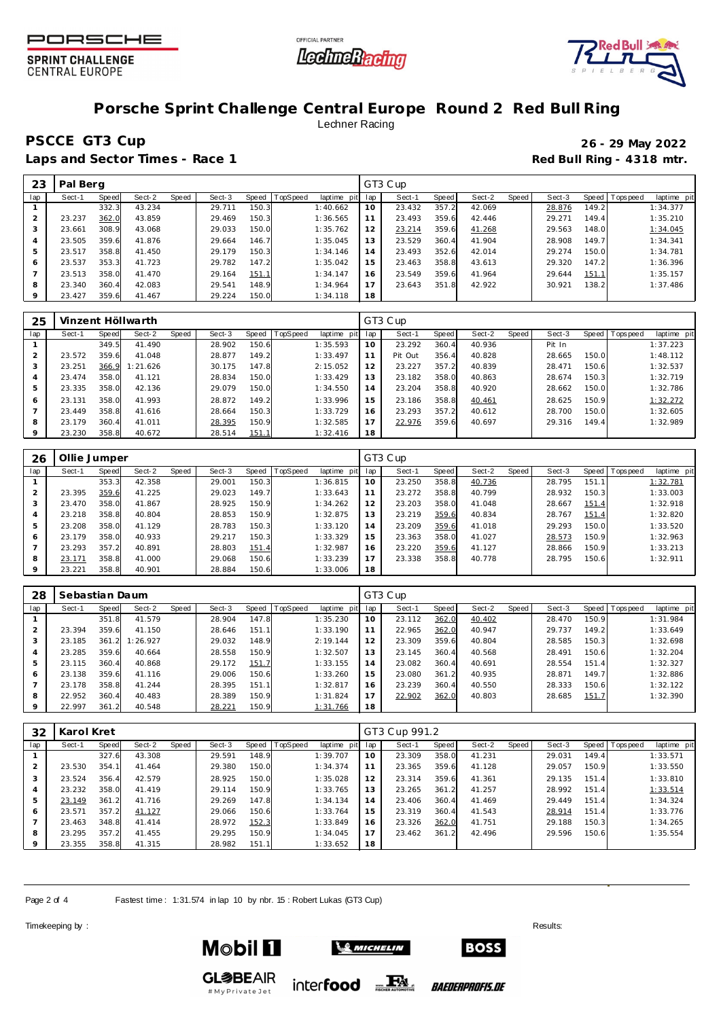





## **Porsche Sprint Challenge Central Europe Round 2 Red Bull Ring** Lechner Racing

## **PSCCE GT3 Cup 26 - 29 May 2022**

Laps and Sector Times - Race 1 **Red Bull Ring - 4318 mtr.** 

| 23  | Pal Berg |       |        |       |        |       |                 |             |     | GT3 Cup |       |        |       |        |       |                 |             |
|-----|----------|-------|--------|-------|--------|-------|-----------------|-------------|-----|---------|-------|--------|-------|--------|-------|-----------------|-------------|
| lap | Sect-1   | Speed | Sect-2 | Speed | Sect-3 | Speed | <b>TopSpeed</b> | laptime pit | lap | Sect-1  | Speed | Sect-2 | Speed | Sect-3 |       | Speed Tops peed | laptime pit |
|     |          | 332.3 | 43.234 |       | 29.711 | 150.3 |                 | 1:40.662    | 10  | 23.432  | 357.2 | 42.069 |       | 28.876 | 149.2 |                 | 1:34.377    |
|     | 23.237   | 362.0 | 43.859 |       | 29.469 | 150.3 |                 | 1:36.565    |     | 23.493  | 359.6 | 42.446 |       | 29.271 | 149.4 |                 | 1:35.210    |
| 3   | 23.661   | 308.9 | 43.068 |       | 29.033 | 150.0 |                 | 1:35.762    | 12  | 23.214  | 359.6 | 41.268 |       | 29.563 | 148.0 |                 | 1:34.045    |
| 4   | 23.505   | 359.6 | 41.876 |       | 29.664 | 146.7 |                 | 1:35.045    | 13  | 23.529  | 360.4 | 41.904 |       | 28.908 | 149.7 |                 | 1:34.341    |
| 5   | 23.517   | 358.8 | 41.450 |       | 29.179 | 150.3 |                 | 1:34.146    | 14  | 23.493  | 352.6 | 42.014 |       | 29.274 | 150.0 |                 | 1:34.781    |
| 6   | 23.537   | 353.3 | 41.723 |       | 29.782 | 147.2 |                 | 1:35.042    | 15  | 23.463  | 358.8 | 43.613 |       | 29.320 | 147.2 |                 | 1:36.396    |
|     | 23.513   | 358.0 | 41.470 |       | 29.164 | 151.1 |                 | 1:34.147    | 16  | 23.549  | 359.6 | 41.964 |       | 29.644 | 151.1 |                 | 1:35.157    |
| 8   | 23.340   | 360.4 | 42.083 |       | 29.541 | 148.9 |                 | 1:34.964    | 17  | 23.643  | 351.8 | 42.922 |       | 30.921 | 138.2 |                 | 1:37.486    |
| 9   | 23.427   | 359.6 | 41.467 |       | 29.224 | 150.0 |                 | 1:34.118    | 18  |         |       |        |       |        |       |                 |             |

| 25  |        |       | Vinzent Höllwarth |       |        |       |          |             |     | GT3 Cup |       |        |       |        |       |                |             |
|-----|--------|-------|-------------------|-------|--------|-------|----------|-------------|-----|---------|-------|--------|-------|--------|-------|----------------|-------------|
| lap | Sect-1 | Speed | Sect-2            | Speed | Sect-3 | Speed | TopSpeed | laptime pit | lap | Sect-1  | Speed | Sect-2 | Speed | Sect-3 |       | Speed Topspeed | laptime pit |
|     |        | 349.5 | 41.490            |       | 28.902 | 150.6 |          | 1:35.593    | 10  | 23.292  | 360.4 | 40.936 |       | Pit In |       |                | 1:37.223    |
|     | 23.572 | 359.6 | 41.048            |       | 28.877 | 149.2 |          | 1:33.497    | 11  | Pit Out | 356.4 | 40.828 |       | 28.665 | 150.0 |                | 1:48.112    |
|     | 23.251 | 366.9 | 1:21.626          |       | 30.175 | 147.8 |          | 2:15.052    | 12  | 23.227  | 357.2 | 40.839 |       | 28.471 | 150.6 |                | 1:32.537    |
| 4   | 23.474 | 358.0 | 41.121            |       | 28.834 | 150.0 |          | 1:33.429    | 13  | 23.182  | 358.0 | 40.863 |       | 28.674 | 150.3 |                | 1:32.719    |
| 5   | 23.335 | 358.0 | 42.136            |       | 29.079 | 150.0 |          | 1:34.550    | 14  | 23.204  | 358.8 | 40.920 |       | 28.662 | 150.0 |                | 1:32.786    |
| 6   | 23.131 | 358.0 | 41.993            |       | 28.872 | 149.2 |          | 1:33.996    | 15  | 23.186  | 358.8 | 40.461 |       | 28.625 | 150.9 |                | 1:32.272    |
|     | 23.449 | 358.8 | 41.616            |       | 28.664 | 150.3 |          | 1:33.729    | 16  | 23.293  | 357.2 | 40.612 |       | 28.700 | 150.0 |                | 1:32.605    |
| 8   | 23.179 | 360.4 | 41.011            |       | 28.395 | 150.9 |          | 1:32.585    |     | 22.976  | 359.6 | 40.697 |       | 29.316 | 149.4 |                | 1:32.989    |
|     | 23.230 | 358.8 | 40.672            |       | 28.514 | 151.1 |          | 1:32.416    | 18  |         |       |        |       |        |       |                |             |

| 26  | Ollie Jumper |       |        |       |        |       |                 |             |     | GT3 Cup |       |        |       |        |       |                   |             |
|-----|--------------|-------|--------|-------|--------|-------|-----------------|-------------|-----|---------|-------|--------|-------|--------|-------|-------------------|-------------|
| lap | Sect-1       | Speed | Sect-2 | Speed | Sect-3 | Speed | <b>TopSpeed</b> | laptime pit | lap | Sect-1  | Speed | Sect-2 | Speed | Sect-3 |       | Speed   Tops peed | laptime pit |
|     |              | 353.3 | 42.358 |       | 29.001 | 150.3 |                 | 1:36.815    | 10  | 23.250  | 358.8 | 40.736 |       | 28.795 | 151.1 |                   | 1:32.781    |
|     | 23.395       | 359.6 | 41.225 |       | 29.023 | 149.7 |                 | 1:33.643    |     | 23.272  | 358.8 | 40.799 |       | 28.932 | 150.3 |                   | 1:33.003    |
| 3   | 23.470       | 358.0 | 41.867 |       | 28.925 | 150.9 |                 | 1:34.262    | 12  | 23.203  | 358.0 | 41.048 |       | 28.667 | 151.4 |                   | 1:32.918    |
| 4   | 23.218       | 358.8 | 40.804 |       | 28.853 | 150.9 |                 | 1:32.875    | 13  | 23.219  | 359.6 | 40.834 |       | 28.767 | 151.4 |                   | 1:32.820    |
| 5   | 23.208       | 358.0 | 41.129 |       | 28.783 | 150.3 |                 | 1:33.120    | 14  | 23.209  | 359.6 | 41.018 |       | 29.293 | 150.0 |                   | 1:33.520    |
| 6   | 23.179       | 358.0 | 40.933 |       | 29.217 | 150.3 |                 | 1:33.329    | 15  | 23.363  | 358.0 | 41.027 |       | 28.573 | 150.9 |                   | 1:32.963    |
|     | 23.293       | 357.2 | 40.891 |       | 28.803 | 151.4 |                 | 1:32.987    | 16  | 23.220  | 359.6 | 41.127 |       | 28.866 | 150.9 |                   | 1:33.213    |
| 8   | 23.171       | 358.8 | 41.000 |       | 29.068 | 150.6 |                 | 1:33.239    | 17  | 23.338  | 358.8 | 40.778 |       | 28.795 | 150.6 |                   | 1:32.911    |
| 9   | 23.221       | 358.8 | 40.901 |       | 28.884 | 150.6 |                 | 1:33.006    | 18  |         |       |        |       |        |       |                   |             |

| 28             | Sebastian Daum |       |          |       |        |       |          |                |     | GT3 Cup |       |        |       |        |       |                   |             |
|----------------|----------------|-------|----------|-------|--------|-------|----------|----------------|-----|---------|-------|--------|-------|--------|-------|-------------------|-------------|
| lap            | Sect-1         | Speed | Sect-2   | Speed | Sect-3 | Speed | TopSpeed | laptime<br>pit | lap | Sect-1  | Speed | Sect-2 | Speed | Sect-3 |       | Speed   Tops peed | laptime pit |
|                |                | 351.8 | 41.579   |       | 28.904 | 147.8 |          | 1:35.230       | 10  | 23.112  | 362.0 | 40.402 |       | 28.470 | 150.9 |                   | 1:31.984    |
|                | 23.394         | 359.6 | 41.150   |       | 28.646 | 151.1 |          | 1:33.190       |     | 22.965  | 362.0 | 40.947 |       | 29.737 | 149.2 |                   | 1:33.649    |
| 3              | 23.185         | 361.2 | 1:26.927 |       | 29.032 | 148.9 |          | 2:19.144       | 12  | 23.309  | 359.6 | 40.804 |       | 28.585 | 150.3 |                   | 1:32.698    |
| $\overline{4}$ | 23.285         | 359.6 | 40.664   |       | 28.558 | 150.9 |          | 1:32.507       | 13  | 23.145  | 360.4 | 40.568 |       | 28.491 | 150.6 |                   | 1:32.204    |
| 5              | 23.115         | 360.4 | 40.868   |       | 29.172 | 151.7 |          | 1:33.155       | 14  | 23.082  | 360.4 | 40.691 |       | 28.554 | 151.4 |                   | 1:32.327    |
| <sup>6</sup>   | 23.138         | 359.6 | 41.116   |       | 29.006 | 150.6 |          | 1:33.260       | 15  | 23.080  | 361.2 | 40.935 |       | 28.871 | 149.7 |                   | 1:32.886    |
|                | 23.178         | 358.8 | 41.244   |       | 28.395 | 151.1 |          | 1:32.817       | 16  | 23.239  | 360.4 | 40.550 |       | 28.333 | 150.6 |                   | 1:32.122    |
| 8              | 22.952         | 360.4 | 40.483   |       | 28.389 | 150.9 |          | 1:31.824       | 17  | 22.902  | 362.0 | 40.803 |       | 28.685 | 151.7 |                   | 1:32.390    |
| 9              | 22.997         | 361.2 | 40.548   |       | 28.221 | 150.9 |          | 1:31.766       | 18  |         |       |        |       |        |       |                   |             |

| 32  | Karol Kret |       |        |       |        |       |          |             |     | GT3 Cup 991.2 |       |        |       |        |       |                 |             |
|-----|------------|-------|--------|-------|--------|-------|----------|-------------|-----|---------------|-------|--------|-------|--------|-------|-----------------|-------------|
| lap | Sect-1     | Speed | Sect-2 | Speed | Sect-3 | Speed | TopSpeed | laptime pit | lap | Sect-1        | Speed | Sect-2 | Speed | Sect-3 |       | Speed Tops peed | laptime pit |
|     |            | 327.6 | 43.308 |       | 29.591 | 148.9 |          | 1:39.707    | 10  | 23.309        | 358.0 | 41.231 |       | 29.031 | 149.4 |                 | 1:33.571    |
|     | 23.530     | 354.1 | 41.464 |       | 29.380 | 150.0 |          | 1:34.374    | 11  | 23.365        | 359.6 | 41.128 |       | 29.057 | 150.9 |                 | 1:33.550    |
|     | 23.524     | 356.4 | 42.579 |       | 28.925 | 150.0 |          | 1:35.028    | 12  | 23.314        | 359.6 | 41.361 |       | 29.135 | 151.4 |                 | 1:33.810    |
|     | 23.232     | 358.0 | 41.419 |       | 29.114 | 150.9 |          | 1:33.765    | 13  | 23.265        | 361.2 | 41.257 |       | 28.992 | 151.4 |                 | 1:33.514    |
|     | 23.149     | 361.2 | 41.716 |       | 29.269 | 147.8 |          | 1:34.134    | 14  | 23.406        | 360.4 | 41.469 |       | 29.449 | 151.4 |                 | 1:34.324    |
| 6   | 23.571     | 357.2 | 41.127 |       | 29.066 | 150.6 |          | 1:33.764    | 15  | 23.319        | 360.4 | 41.543 |       | 28.914 | 151.4 |                 | 1:33.776    |
|     | 23.463     | 348.8 | 41.414 |       | 28.972 | 152.3 |          | 1:33.849    | 16  | 23.326        | 362.0 | 41.751 |       | 29.188 | 150.3 |                 | 1:34.265    |
| 8   | 23.295     | 357.2 | 41.455 |       | 29.295 | 150.9 |          | 1:34.045    | 17  | 23.462        | 361.2 | 42.496 |       | 29.596 | 150.6 |                 | 1:35.554    |
|     | 23.355     | 358.8 | 41.315 |       | 28.982 | 151.1 |          | 1:33.652    | 18  |               |       |        |       |        |       |                 |             |

inter**food** FALL

Page 2 of 4 Fastest time: 1:31.574 in lap 10 by nbr. 15: Robert Lukas (GT3 Cup)

Timekeeping by : Results: Results: Results: Results: Results: Results: Results: Results: Results: Results: Results: Results: Results: Results: Results: Results: Results: Results: Results: Results: Results: Results: Results



**GL参BEAIR** 

# My Private Jet



**BOSS** 

*BAEDERPROFIS.DE*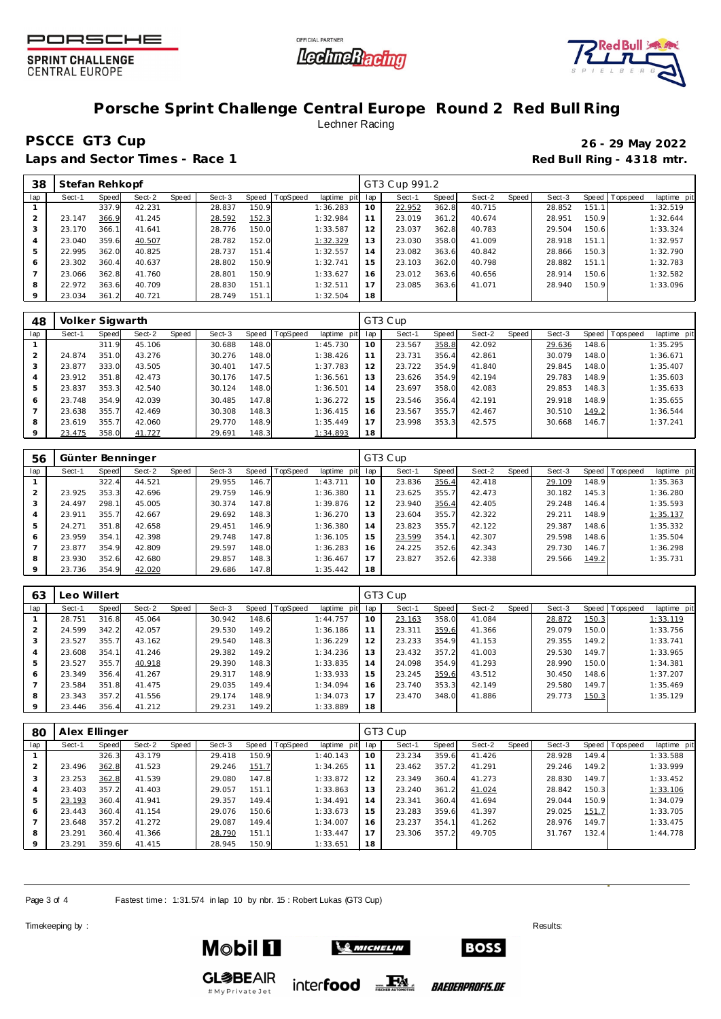





#### **Porsche Sprint Challenge Central Europe Round 2 Red Bull Ring** Lechner Racing

## **PSCCE GT3 Cup 26 - 29 May 2022**

Laps and Sector Times - Race 1 **Red Bull Ring - 4318 mtr.** 

| 38      | Stefan Rehkopf |       |        |       |        |       |                |             |     | GT3 Cup 991.2 |       |        |       |        |       |                 |             |
|---------|----------------|-------|--------|-------|--------|-------|----------------|-------------|-----|---------------|-------|--------|-------|--------|-------|-----------------|-------------|
| lap     | Sect-1         | Speed | Sect-2 | Speed | Sect-3 |       | Speed TopSpeed | laptime pit | lap | Sect-1        | Speed | Sect-2 | Speed | Sect-3 |       | Speed Tops peed | laptime pit |
|         |                | 337.9 | 42.231 |       | 28.837 | 150.9 |                | 1:36.283    | 10  | 22.952        | 362.8 | 40.715 |       | 28.852 | 151.1 |                 | 1:32.519    |
| 2       | 23.147         | 366.9 | 41.245 |       | 28.592 | 152.3 |                | 1:32.984    | 11  | 23.019        | 361.2 | 40.674 |       | 28.951 | 150.9 |                 | 1:32.644    |
| 3       | 23.170         | 366.1 | 41.641 |       | 28.776 | 150.0 |                | 1:33.587    | 12  | 23.037        | 362.8 | 40.783 |       | 29.504 | 150.6 |                 | 1:33.324    |
| 4       | 23.040         | 359.6 | 40.507 |       | 28.782 | 152.0 |                | 1:32.329    | 13  | 23.030        | 358.0 | 41.009 |       | 28.918 | 151.1 |                 | 1:32.957    |
| 5       | 22.995         | 362.0 | 40.825 |       | 28.737 | 151.4 |                | 1:32.557    | 14  | 23.082        | 363.6 | 40.842 |       | 28.866 | 150.3 |                 | 1:32.790    |
| 6       | 23.302         | 360.4 | 40.637 |       | 28.802 | 150.9 |                | 1:32.741    | 15  | 23.103        | 362.0 | 40.798 |       | 28.882 | 151.1 |                 | 1:32.783    |
|         | 23.066         | 362.8 | 41.760 |       | 28.801 | 150.9 |                | 1:33.627    | 16  | 23.012        | 363.6 | 40.656 |       | 28.914 | 150.6 |                 | 1:32.582    |
| 8       | 22.972         | 363.6 | 40.709 |       | 28.830 | 151.1 |                | 1:32.511    | 17  | 23.085        | 363.6 | 41.071 |       | 28.940 | 150.9 |                 | 1:33.096    |
| $\circ$ | 23.034         | 361.2 | 40.721 |       | 28.749 | 151.1 |                | 1:32.504    | 18  |               |       |        |       |        |       |                 |             |

| 48  | Volker Sigwarth |       |        |       |        |       |                |                |                | GT3 Cup |       |        |       |        |       |                 |             |
|-----|-----------------|-------|--------|-------|--------|-------|----------------|----------------|----------------|---------|-------|--------|-------|--------|-------|-----------------|-------------|
| lap | Sect-1          | Speed | Sect-2 | Speed | Sect-3 |       | Speed TopSpeed | laptime<br>pit | lap            | Sect-1  | Speed | Sect-2 | Speed | Sect-3 |       | Speed Tops peed | laptime pit |
|     |                 | 311.9 | 45.106 |       | 30.688 | 148.0 |                | 1:45.730       | 10             | 23.567  | 358.8 | 42.092 |       | 29.636 | 148.6 |                 | 1:35.295    |
|     | 24.874          | 351.0 | 43.276 |       | 30.276 | 148.0 |                | 1:38.426       | 11             | 23.731  | 356.4 | 42.861 |       | 30.079 | 148.0 |                 | 1:36.671    |
| 3   | 23.877          | 333.0 | 43.505 |       | 30.401 | 147.5 |                | 1:37.783       | 12             | 23.722  | 354.9 | 41.840 |       | 29.845 | 148.0 |                 | 1:35.407    |
| 4   | 23.912          | 351.8 | 42.473 |       | 30.176 | 147.5 |                | 1:36.561       | 13             | 23.626  | 354.9 | 42.194 |       | 29.783 | 148.9 |                 | 1:35.603    |
| 5   | 23.837          | 353.3 | 42.540 |       | 30.124 | 148.0 |                | 1:36.501       | 14             | 23.697  | 358.0 | 42.083 |       | 29.853 | 148.3 |                 | 1:35.633    |
| 6   | 23.748          | 354.9 | 42.039 |       | 30.485 | 147.8 |                | 1:36.272       | 15             | 23.546  | 356.4 | 42.191 |       | 29.918 | 148.9 |                 | 1:35.655    |
|     | 23.638          | 355.7 | 42.469 |       | 30.308 | 148.3 |                | 1:36.415       | 16             | 23.567  | 355.7 | 42.467 |       | 30.510 | 149.2 |                 | 1:36.544    |
| 8   | 23.619          | 355.7 | 42.060 |       | 29.770 | 148.9 |                | 1:35.449       | $\overline{7}$ | 23.998  | 353.3 | 42.575 |       | 30.668 | 146.7 |                 | 1:37.241    |
| 9   | 23.475          | 358.0 | 41.727 |       | 29.691 | 148.3 |                | 1:34.893       | 18             |         |       |        |       |        |       |                 |             |

| 56  | Günter Benninger |       |        |       |        |       |                 |                |     | GT3 Cup |       |        |       |        |       |                |             |  |  |  |
|-----|------------------|-------|--------|-------|--------|-------|-----------------|----------------|-----|---------|-------|--------|-------|--------|-------|----------------|-------------|--|--|--|
| lap | Sect-1           | Speed | Sect-2 | Speed | Sect-3 | Speed | <b>TopSpeed</b> | laptime<br>pit | lap | Sect-1  | Speed | Sect-2 | Speed | Sect-3 |       | Speed Topspeed | laptime pit |  |  |  |
|     |                  | 322.4 | 44.521 |       | 29.955 | 146.7 |                 | 1:43.711       | 10  | 23.836  | 356.4 | 42.418 |       | 29.109 | 148.9 |                | 1:35.363    |  |  |  |
|     | 23.925           | 353.3 | 42.696 |       | 29.759 | 146.9 |                 | 1:36.380       | 11  | 23.625  | 355.7 | 42.473 |       | 30.182 | 145.3 |                | 1:36.280    |  |  |  |
|     | 24.497           | 298.1 | 45.005 |       | 30.374 | 147.8 |                 | 1:39.876       | 12  | 23.940  | 356.4 | 42.405 |       | 29.248 | 146.4 |                | 1:35.593    |  |  |  |
|     | 23.911           | 355.7 | 42.667 |       | 29.692 | 148.3 |                 | 1:36.270       | 13  | 23.604  | 355.7 | 42.322 |       | 29.211 | 148.9 |                | 1:35.137    |  |  |  |
| 5   | 24.271           | 351.8 | 42.658 |       | 29.451 | 146.9 |                 | 1:36.380       | 14  | 23.823  | 355.7 | 42.122 |       | 29.387 | 148.6 |                | 1:35.332    |  |  |  |
| 6   | 23.959           | 354.1 | 42.398 |       | 29.748 | 147.8 |                 | 1:36.105       | 15  | 23.599  | 354.1 | 42.307 |       | 29.598 | 148.6 |                | 1:35.504    |  |  |  |
|     | 23.877           | 354.9 | 42.809 |       | 29.597 | 148.0 |                 | 1:36.283       | 16  | 24.225  | 352.6 | 42.343 |       | 29.730 | 146.7 |                | 1:36.298    |  |  |  |
| 8   | 23.930           | 352.6 | 42.680 |       | 29.857 | 148.3 |                 | 1:36.467       | 17  | 23.827  | 352.6 | 42.338 |       | 29.566 | 149.2 |                | 1:35.731    |  |  |  |
|     | 23.736           | 354.9 | 42.020 |       | 29.686 | 147.8 |                 | 1:35.442       | 18  |         |       |        |       |        |       |                |             |  |  |  |

| 63             | Leo Willert |       |        |       |        |       |          |                 |     | GT3 Cup |       |        |       |        |       |                   |             |  |  |  |
|----------------|-------------|-------|--------|-------|--------|-------|----------|-----------------|-----|---------|-------|--------|-------|--------|-------|-------------------|-------------|--|--|--|
| lap            | Sect-1      | Speed | Sect-2 | Speed | Sect-3 | Speed | TopSpeed | laptime<br>pit, | lap | Sect-1  | Speed | Sect-2 | Speed | Sect-3 |       | Speed   Tops peed | laptime pit |  |  |  |
|                | 28.751      | 316.8 | 45.064 |       | 30.942 | 148.6 |          | 1:44.757        | 10  | 23.163  | 358.0 | 41.084 |       | 28.872 | 150.3 |                   | 1:33.119    |  |  |  |
|                | 24.599      | 342.2 | 42.057 |       | 29.530 | 149.2 |          | 1:36.186        |     | 23.311  | 359.6 | 41.366 |       | 29.079 | 150.0 |                   | 1:33.756    |  |  |  |
| 3              | 23.527      | 355.7 | 43.162 |       | 29.540 | 148.3 |          | 1:36.229        | 12  | 23.233  | 354.9 | 41.153 |       | 29.355 | 149.2 |                   | 1:33.741    |  |  |  |
| $\overline{4}$ | 23.608      | 354.1 | 41.246 |       | 29.382 | 149.2 |          | 1:34.236        | 13  | 23.432  | 357.2 | 41.003 |       | 29.530 | 149.7 |                   | 1:33.965    |  |  |  |
| 5              | 23.527      | 355.7 | 40.918 |       | 29.390 | 148.3 |          | 1:33.835        | 14  | 24.098  | 354.9 | 41.293 |       | 28.990 | 150.0 |                   | 1:34.381    |  |  |  |
| 6              | 23.349      | 356.4 | 41.267 |       | 29.317 | 148.9 |          | 1:33.933        | 15  | 23.245  | 359.6 | 43.512 |       | 30.450 | 148.6 |                   | 1:37.207    |  |  |  |
|                | 23.584      | 351.8 | 41.475 |       | 29.035 | 149.4 |          | 1:34.094        | 16  | 23.740  | 353.3 | 42.149 |       | 29.580 | 149.7 |                   | 1:35.469    |  |  |  |
| 8              | 23.343      | 357.2 | 41.556 |       | 29.174 | 148.9 |          | 1:34.073        | 17  | 23.470  | 348.0 | 41.886 |       | 29.773 | 150.3 |                   | 1:35.129    |  |  |  |
| 9              | 23.446      | 356.4 | 41.212 |       | 29.231 | 149.2 |          | 1:33.889        | 18  |         |       |        |       |        |       |                   |             |  |  |  |

| 80  | Alex Ellinger |       |        |       |        |       |          |                |     | GT3 Cup |       |        |       |        |       |                 |             |  |  |  |
|-----|---------------|-------|--------|-------|--------|-------|----------|----------------|-----|---------|-------|--------|-------|--------|-------|-----------------|-------------|--|--|--|
| lap | Sect-1        | Speed | Sect-2 | Speed | Sect-3 | Speed | TopSpeed | laptime<br>pit | lap | Sect-1  | Speed | Sect-2 | Speed | Sect-3 |       | Speed Tops peed | laptime pit |  |  |  |
|     |               | 326.3 | 43.179 |       | 29.418 | 150.9 |          | 1:40.143       | 10  | 23.234  | 359.6 | 41.426 |       | 28.928 | 149.4 |                 | 1:33.588    |  |  |  |
|     | 23.496        | 362.8 | 41.523 |       | 29.246 | 151.7 |          | 1:34.265       | 11  | 23.462  | 357.2 | 41.291 |       | 29.246 | 149.2 |                 | 1:33.999    |  |  |  |
|     | 23.253        | 362.8 | 41.539 |       | 29.080 | 147.8 |          | 1:33.872       | 12  | 23.349  | 360.4 | 41.273 |       | 28.830 | 149.7 |                 | 1:33.452    |  |  |  |
|     | 23.403        | 357.2 | 41.403 |       | 29.057 | 151.1 |          | 1:33.863       | 13  | 23.240  | 361.2 | 41.024 |       | 28.842 | 150.3 |                 | 1:33.106    |  |  |  |
|     | 23.193        | 360.4 | 41.941 |       | 29.357 | 149.4 |          | 1:34.491       | 14  | 23.341  | 360.4 | 41.694 |       | 29.044 | 150.9 |                 | 1:34.079    |  |  |  |
| 6   | 23.443        | 360.4 | 41.154 |       | 29.076 | 150.6 |          | 1:33.673       | 15  | 23.283  | 359.6 | 41.397 |       | 29.025 | 151.7 |                 | 1:33.705    |  |  |  |
|     | 23.648        | 357.2 | 41.272 |       | 29.087 | 149.4 |          | 1:34.007       | 16  | 23.237  | 354.1 | 41.262 |       | 28.976 | 149.7 |                 | 1:33.475    |  |  |  |
| 8   | 23.291        | 360.4 | 41.366 |       | 28.790 | 151.1 |          | 1:33.447       |     | 23.306  | 357.2 | 49.705 |       | 31.767 | 132.4 |                 | 1:44.778    |  |  |  |
|     | 23.291        | 359.6 | 41.415 |       | 28.945 | 150.9 |          | 1:33.651       | 18  |         |       |        |       |        |       |                 |             |  |  |  |

inter**food** FALL

Page 3 of 4 Fastest time: 1:31.574 in lap 10 by nbr. 15: Robert Lukas (GT3 Cup)

**GL参BEAIR** 

# My Private Jet

Timekeeping by : Results: Results: Results: Results: Results: Results: Results: Results: Results: Results: Results: Results: Results: Results: Results: Results: Results: Results: Results: Results: Results: Results: Results





**BOSS** 

*BAEDERPROFIS.DE*